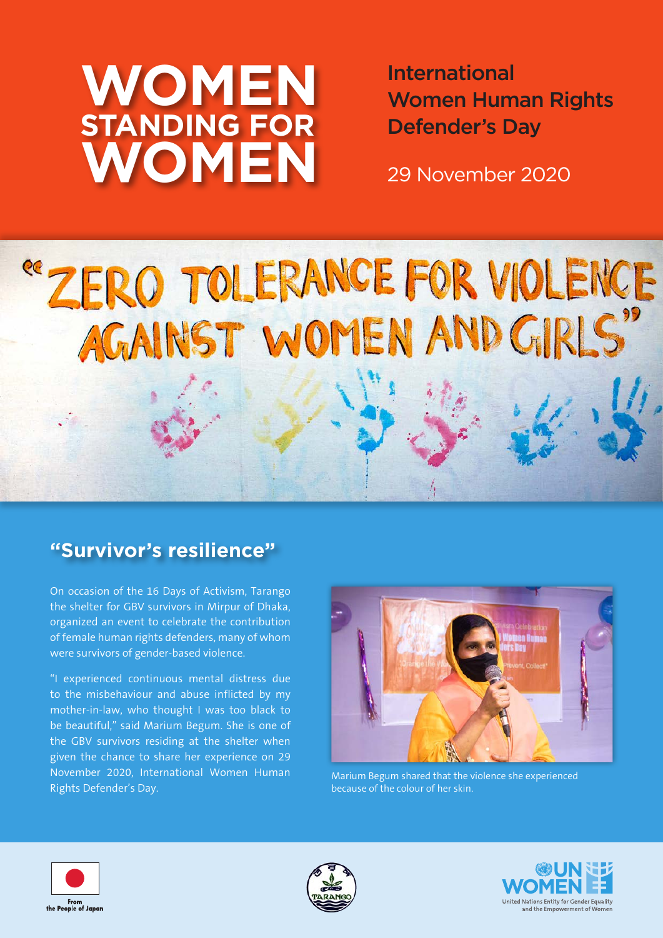# **WOMEN STANDING FOR WOMEN**

International Women Human Rights Defender's Day

29 November 2020

# "ZERO TOLERANCE FOR VIOLENCE

### **"Survivor's resilience"**

On occasion of the 16 Days of Activism, Tarango the shelter for GBV survivors in Mirpur of Dhaka, organized an event to celebrate the contribution of female human rights defenders, many of whom were survivors of gender-based violence.

"I experienced continuous mental distress due to the misbehaviour and abuse inflicted by my mother-in-law, who thought I was too black to be beautiful," said Marium Begum. She is one of the GBV survivors residing at the shelter when given the chance to share her experience on 29 November 2020, International Women Human Rights Defender's Day.



Marium Begum shared that the violence she experienced because of the colour of her skin.





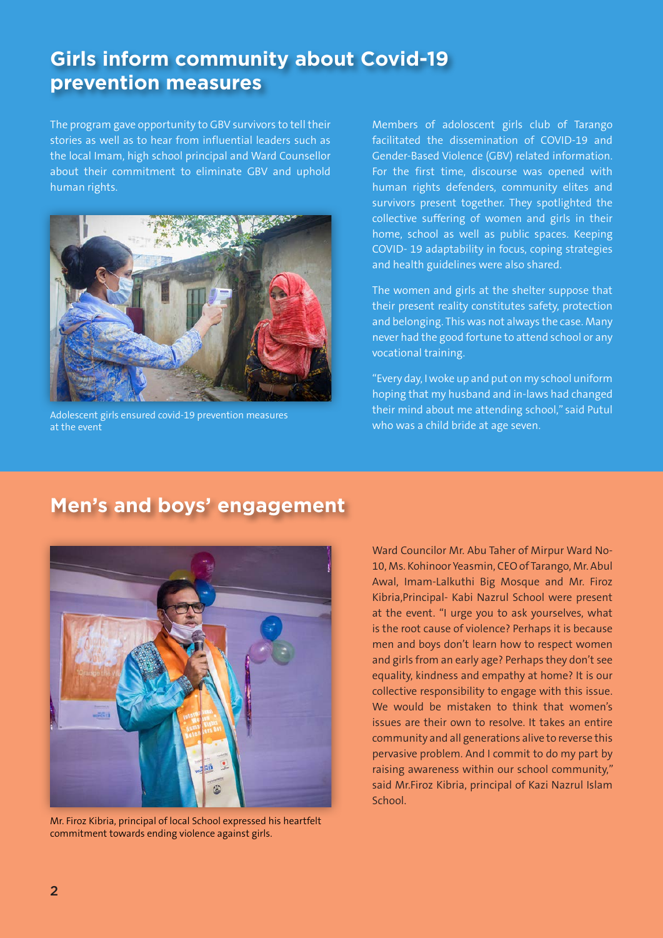# **Girls inform community about Covid-19 prevention measures**

The program gave opportunity to GBV survivors to tell their stories as well as to hear from influential leaders such as the local Imam, high school principal and Ward Counsellor about their commitment to eliminate GBV and uphold human rights.



Adolescent girls ensured covid-19 prevention measures at the event

Members of adoloscent girls club of Tarango facilitated the dissemination of COVID-19 and Gender-Based Violence (GBV) related information. For the first time, discourse was opened with human rights defenders, community elites and survivors present together. They spotlighted the collective suffering of women and girls in their home, school as well as public spaces. Keeping COVID- 19 adaptability in focus, coping strategies and health guidelines were also shared.

The women and girls at the shelter suppose that their present reality constitutes safety, protection and belonging. This was not always the case. Many never had the good fortune to attend school or any vocational training.

"Every day, I woke up and put on my school uniform hoping that my husband and in-laws had changed their mind about me attending school," said Putul who was a child bride at age seven.

# **Men's and boys' engagement**



Mr. Firoz Kibria, principal of local School expressed his heartfelt commitment towards ending violence against girls.

Ward Councilor Mr. Abu Taher of Mirpur Ward No-10, Ms. Kohinoor Yeasmin, CEO of Tarango, Mr. Abul Awal, Imam-Lalkuthi Big Mosque and Mr. Firoz Kibria,Principal- Kabi Nazrul School were present at the event. "I urge you to ask yourselves, what is the root cause of violence? Perhaps it is because men and boys don't learn how to respect women and girls from an early age? Perhaps they don't see equality, kindness and empathy at home? It is our collective responsibility to engage with this issue. We would be mistaken to think that women's issues are their own to resolve. It takes an entire community and all generations alive to reverse this pervasive problem. And I commit to do my part by raising awareness within our school community," said Mr.Firoz Kibria, principal of Kazi Nazrul Islam **School**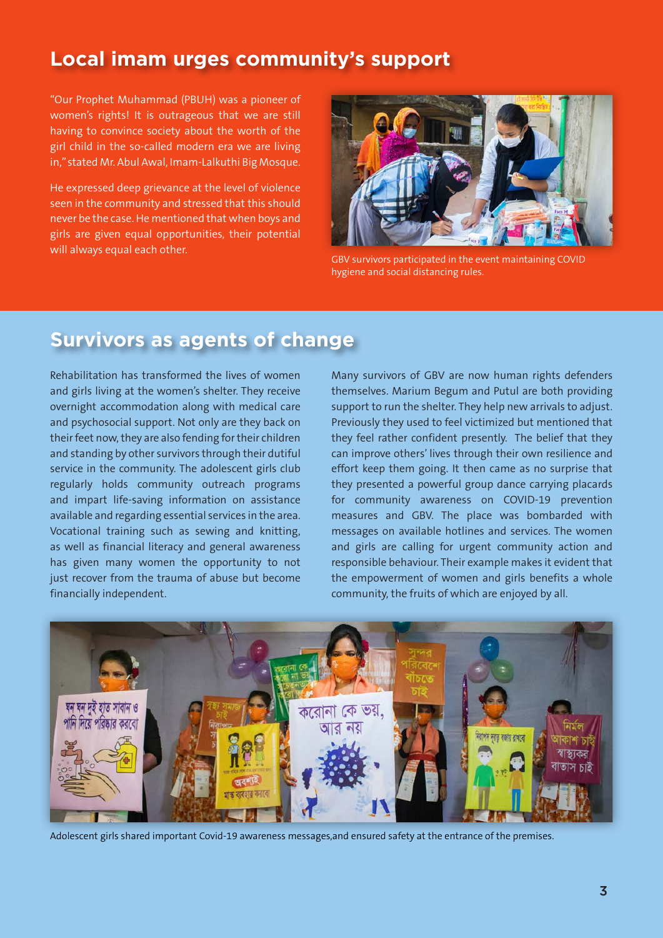### **Local imam urges community's support**

"Our Prophet Muhammad (PBUH) was a pioneer of women's rights! It is outrageous that we are still having to convince society about the worth of the girl child in the so-called modern era we are living in," stated Mr. Abul Awal, Imam-Lalkuthi Big Mosque.

He expressed deep grievance at the level of violence seen in the community and stressed that this should never be the case. He mentioned that when boys and girls are given equal opportunities, their potential will always equal each other.



GBV survivors participated in the event maintaining COVID hygiene and social distancing rules.

## **Survivors as agents of change**

Rehabilitation has transformed the lives of women and girls living at the women's shelter. They receive overnight accommodation along with medical care and psychosocial support. Not only are they back on their feet now, they are also fending for their children and standing by other survivors through their dutiful service in the community. The adolescent girls club regularly holds community outreach programs and impart life-saving information on assistance available and regarding essential services in the area. Vocational training such as sewing and knitting, as well as financial literacy and general awareness has given many women the opportunity to not just recover from the trauma of abuse but become financially independent.

Many survivors of GBV are now human rights defenders themselves. Marium Begum and Putul are both providing support to run the shelter. They help new arrivals to adjust. Previously they used to feel victimized but mentioned that they feel rather confident presently. The belief that they can improve others' lives through their own resilience and effort keep them going. It then came as no surprise that they presented a powerful group dance carrying placards for community awareness on COVID-19 prevention measures and GBV. The place was bombarded with messages on available hotlines and services. The women and girls are calling for urgent community action and responsible behaviour. Their example makes it evident that the empowerment of women and girls benefits a whole community, the fruits of which are enjoyed by all.



Adolescent girls shared important Covid-19 awareness messages,and ensured safety at the entrance of the premises.